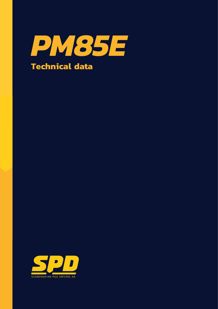

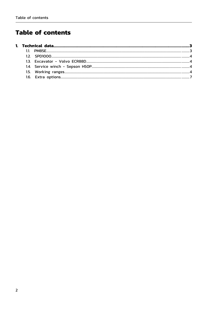# **Table of contents**

| Technical<br> |  |  |  |
|---------------|--|--|--|
|               |  |  |  |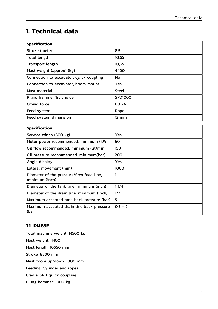## <span id="page-2-0"></span>**1. Technical data**

| <b>Specification</b>                    |                   |  |  |  |
|-----------------------------------------|-------------------|--|--|--|
| Stroke (meter)                          | 8,5               |  |  |  |
| Total length                            | 10,65             |  |  |  |
| Transport length                        | 10,65             |  |  |  |
| Mast weight (approx) (kg)               | 4400              |  |  |  |
| Connection to excavator, quick coupling | No                |  |  |  |
| Connection to excavator, boom mount     | Yes.              |  |  |  |
| Mast material                           | <b>Steel</b>      |  |  |  |
| Piling hammer 1st choice                | <b>SPD1000</b>    |  |  |  |
| Crowd force                             | 80 kN             |  |  |  |
| Feed system                             | Rope              |  |  |  |
| Feed system dimension                   | $12 \, \text{mm}$ |  |  |  |
|                                         |                   |  |  |  |
| <b>Specification</b>                    |                   |  |  |  |
| Service winch (500 kg)                  | Yes               |  |  |  |
| Motor power recommended, minimum (kW)   | 50                |  |  |  |
| $\mathbf{r}$                            |                   |  |  |  |

| Motor power recommended, minimum (kW)                      | 50         |
|------------------------------------------------------------|------------|
| Oil flow recommended, minimum (lit/min)                    | 150        |
| Oil pressure recommended, minimum(bar)                     | 200        |
| Angle display                                              | <b>Yes</b> |
| Lateral movement (mm)                                      | 1000       |
| Diameter of the pressure/flow feed line,<br>minimum (inch) |            |
| Diameter of the tank line, minimum (inch)                  | 11/4       |
| Diameter of the drain line, minimum (inch)                 | 1/2        |
| Maximum accepted tank back pressure (bar)                  | 15         |
| Maximum accepted drain line back pressure<br>(bar)         | $0,5 - 2$  |

### <span id="page-2-1"></span>**1.1. PM85E**

Total machine weight: 14500 kg Mast weight: 4400 Mast length: 10650 mm Stroke: 8500 mm Mast zoom up/down: 1000 mm Feeding: Cylinder and ropes Cradle: SPD quick coupling

Piling hammer: 1000 kg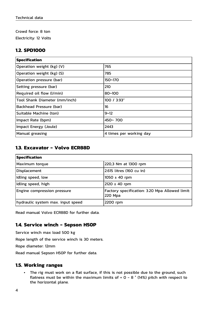Crowd force: 8 ton

Electricity: 12 Volts

#### <span id="page-3-0"></span>**1.2. SPD1000**

| <b>Specification</b>          |                         |  |
|-------------------------------|-------------------------|--|
| Operation weight (kg) (V)     | 765                     |  |
| Operation weight (kg) (S)     | 785                     |  |
| Operation pressure (bar)      | 150~170                 |  |
| Setting pressure (bar)        | 210                     |  |
| Required oil flow (I/min)     | $80 - 100$              |  |
| Tool Shank Diameter (mm/inch) | 100 / 3.93"             |  |
| Backhead Pressure (bar)       | 16                      |  |
| Suitable Machine (ton)        | $9 - 12$                |  |
| Impact Rate (bpm)             | $450 - 700$             |  |
| Impact Energy (Joule)         | 2443                    |  |
| Manual greasing               | 4 times per working day |  |

#### <span id="page-3-1"></span>**1.3. Excavator - Volvo ECR88D**

| <b>Specification</b>              |                                                           |  |  |  |
|-----------------------------------|-----------------------------------------------------------|--|--|--|
| Maximum torque                    | 220,3 Nm at 1300 rpm                                      |  |  |  |
| Displacement                      | 2.615 litres (160 cu in)                                  |  |  |  |
| Idling speed, low                 | $1050 \pm 40$ rpm                                         |  |  |  |
| Idling speed, high                | 2120 ± 40 rpm                                             |  |  |  |
| Engine compression pressure       | Factory specification: 3.20 Mpa Allowed limit:<br>220 Mpa |  |  |  |
| hydraulic system max. input speed | 2200 rpm                                                  |  |  |  |

Read manual Volvo ECR88D for further data.

#### <span id="page-3-2"></span>**1.4. Service winch - Sepson H50P**

Service winch max load 500 kg

Rope length of the service winch is 30 meters.

Rope diameter: 12mm

Read manual Sepson H50P for further data.

#### <span id="page-3-3"></span>**1.5. Working ranges**

• The rig must work on a flat surface, if this is not possible due to the ground, such flatness must be within the maximum limits of  $+$  0 - 8  $\degree$  (14%) pitch with respect to the horizontal plane.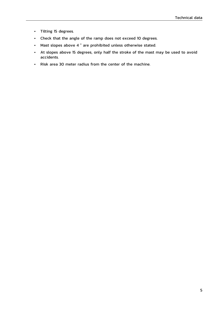- Tilting 15 degrees.
- Check that the angle of the ramp does not exceed 10 degrees.
- Mast slopes above 4 ° are prohibited unless otherwise stated.
- At slopes above 15 degrees, only half the stroke of the mast may be used to avoid accidents.
- Risk area 30 meter radius from the center of the machine.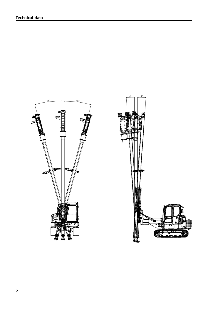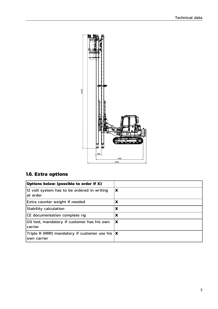

### <span id="page-6-0"></span>**1.6. Extra options**

| Options below: (possible to order if X)                            |   |
|--------------------------------------------------------------------|---|
| 12 volt system has to be ordered in writing<br>lat order           | X |
| Extra counter weight if needed                                     | X |
| Stability calculation                                              | X |
| CE documentation complete rig                                      | X |
| Oil test, mandatory if customer has his own<br>carrier             | X |
| Triple R (RRR) mandatory if customer use his $ X $<br>Iown carrier |   |